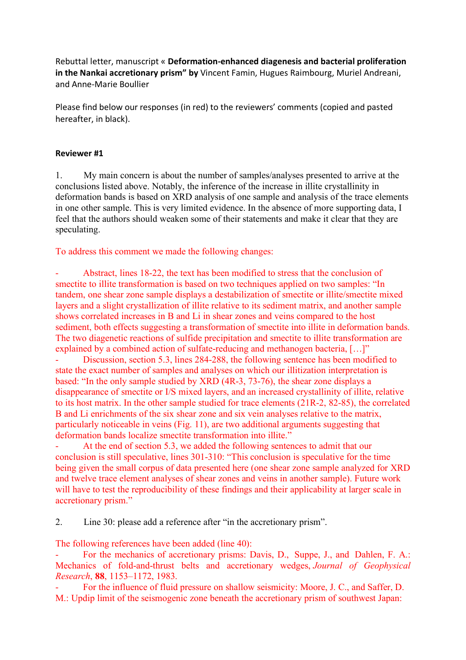Rebuttal letter, manuscript « **Deformation-enhanced diagenesis and bacterial proliferation in the Nankai accretionary prism" by** Vincent Famin, Hugues Raimbourg, Muriel Andreani, and Anne-Marie Boullier

Please find below our responses (in red) to the reviewers' comments (copied and pasted hereafter, in black).

## **Reviewer #1**

1. My main concern is about the number of samples/analyses presented to arrive at the conclusions listed above. Notably, the inference of the increase in illite crystallinity in deformation bands is based on XRD analysis of one sample and analysis of the trace elements in one other sample. This is very limited evidence. In the absence of more supporting data, I feel that the authors should weaken some of their statements and make it clear that they are speculating.

## To address this comment we made the following changes:

Abstract, lines 18-22, the text has been modified to stress that the conclusion of smectite to illite transformation is based on two techniques applied on two samples: "In tandem, one shear zone sample displays a destabilization of smectite or illite/smectite mixed layers and a slight crystallization of illite relative to its sediment matrix, and another sample shows correlated increases in B and Li in shear zones and veins compared to the host sediment, both effects suggesting a transformation of smectite into illite in deformation bands. The two diagenetic reactions of sulfide precipitation and smectite to illite transformation are explained by a combined action of sulfate-reducing and methanogen bacteria, […]"

Discussion, section 5.3, lines 284-288, the following sentence has been modified to state the exact number of samples and analyses on which our illitization interpretation is based: "In the only sample studied by XRD (4R-3, 73-76), the shear zone displays a disappearance of smectite or I/S mixed layers, and an increased crystallinity of illite, relative to its host matrix. In the other sample studied for trace elements (21R-2, 82-85), the correlated B and Li enrichments of the six shear zone and six vein analyses relative to the matrix, particularly noticeable in veins (Fig. 11), are two additional arguments suggesting that deformation bands localize smectite transformation into illite."

At the end of section 5.3, we added the following sentences to admit that our conclusion is still speculative, lines 301-310: "This conclusion is speculative for the time being given the small corpus of data presented here (one shear zone sample analyzed for XRD and twelve trace element analyses of shear zones and veins in another sample). Future work will have to test the reproducibility of these findings and their applicability at larger scale in accretionary prism."

2. Line 30: please add a reference after "in the accretionary prism".

The following references have been added (line 40):

For the mechanics of accretionary prisms: Davis, D., Suppe, J., and Dahlen, F. A.: Mechanics of fold-and-thrust belts and accretionary wedges, *Journal of Geophysical Research*, **88**, 1153–1172, 1983.

- For the influence of fluid pressure on shallow seismicity: Moore, J. C., and Saffer, D. M.: Updip limit of the seismogenic zone beneath the accretionary prism of southwest Japan: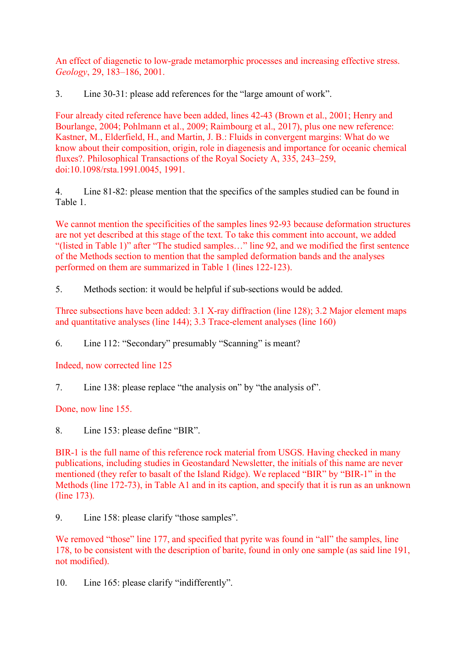An effect of diagenetic to low-grade metamorphic processes and increasing effective stress. *Geology*, 29, 183–186, 2001.

3. Line 30-31: please add references for the "large amount of work".

Four already cited reference have been added, lines 42-43 (Brown et al., 2001; Henry and Bourlange, 2004; Pohlmann et al., 2009; Raimbourg et al., 2017), plus one new reference: Kastner, M., Elderfield, H., and Martin, J. B.: Fluids in convergent margins: What do we know about their composition, origin, role in diagenesis and importance for oceanic chemical fluxes?. Philosophical Transactions of the Royal Society A, 335, 243–259, doi:10.1098/rsta.1991.0045, 1991.

4. Line 81-82: please mention that the specifics of the samples studied can be found in Table 1.

We cannot mention the specificities of the samples lines 92-93 because deformation structures are not yet described at this stage of the text. To take this comment into account, we added "(listed in Table 1)" after "The studied samples…" line 92, and we modified the first sentence of the Methods section to mention that the sampled deformation bands and the analyses performed on them are summarized in Table 1 (lines 122-123).

5. Methods section: it would be helpful if sub-sections would be added.

Three subsections have been added: 3.1 X-ray diffraction (line 128); 3.2 Major element maps and quantitative analyses (line 144); 3.3 Trace-element analyses (line 160)

6. Line 112: "Secondary" presumably "Scanning" is meant?

Indeed, now corrected line 125

7. Line 138: please replace "the analysis on" by "the analysis of".

Done, now line 155.

8. Line 153: please define "BIR".

BIR-1 is the full name of this reference rock material from USGS. Having checked in many publications, including studies in Geostandard Newsletter, the initials of this name are never mentioned (they refer to basalt of the Island Ridge). We replaced "BIR" by "BIR-1" in the Methods (line 172-73), in Table A1 and in its caption, and specify that it is run as an unknown (line 173).

9. Line 158: please clarify "those samples".

We removed "those" line 177, and specified that pyrite was found in "all" the samples, line 178, to be consistent with the description of barite, found in only one sample (as said line 191, not modified).

10. Line 165: please clarify "indifferently".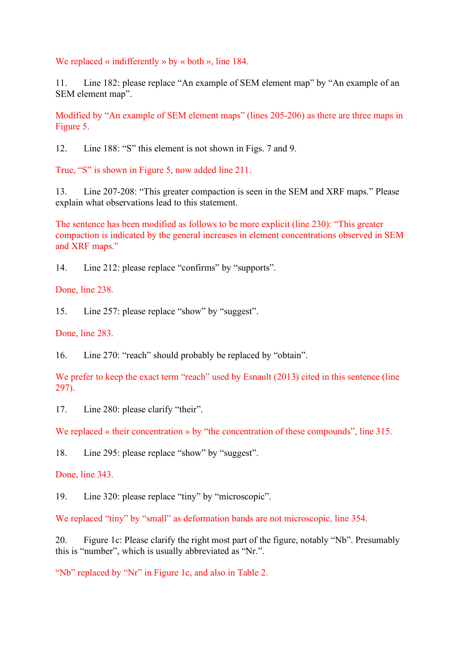We replaced « indifferently » by « both », line 184.

11. Line 182: please replace "An example of SEM element map" by "An example of an SEM element map".

Modified by "An example of SEM element maps" (lines 205-206) as there are three maps in Figure 5.

12. Line 188: "S" this element is not shown in Figs. 7 and 9.

True, "S" is shown in Figure 5, now added line 211.

13. Line 207-208: "This greater compaction is seen in the SEM and XRF maps." Please explain what observations lead to this statement.

The sentence has been modified as follows to be more explicit (line 230): "This greater compaction is indicated by the general increases in element concentrations observed in SEM and XRF maps."

14. Line 212: please replace "confirms" by "supports".

Done, line 238.

15. Line 257: please replace "show" by "suggest".

Done, line 283.

16. Line 270: "reach" should probably be replaced by "obtain".

We prefer to keep the exact term "reach" used by Esnault (2013) cited in this sentence (line 297).

17. Line 280: please clarify "their".

We replaced « their concentration » by "the concentration of these compounds", line 315.

18. Line 295: please replace "show" by "suggest".

Done, line 343.

19. Line 320: please replace "tiny" by "microscopic".

We replaced "tiny" by "small" as deformation bands are not microscopic, line 354.

20. Figure 1c: Please clarify the right most part of the figure, notably "Nb". Presumably this is "number", which is usually abbreviated as "Nr.".

"Nb" replaced by "Nr" in Figure 1c, and also in Table 2.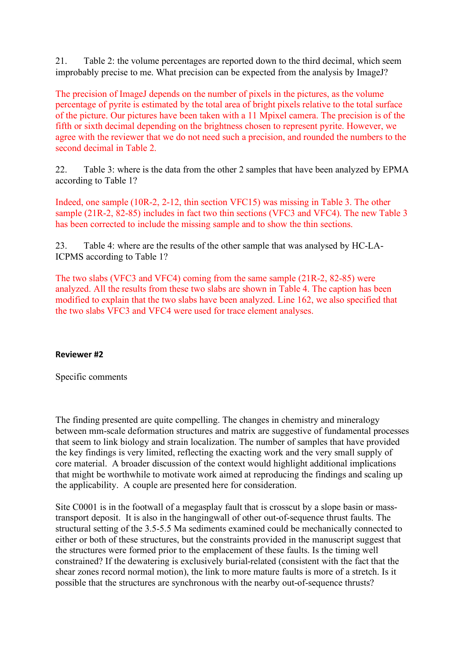21. Table 2: the volume percentages are reported down to the third decimal, which seem improbably precise to me. What precision can be expected from the analysis by ImageJ?

The precision of ImageJ depends on the number of pixels in the pictures, as the volume percentage of pyrite is estimated by the total area of bright pixels relative to the total surface of the picture. Our pictures have been taken with a 11 Mpixel camera. The precision is of the fifth or sixth decimal depending on the brightness chosen to represent pyrite. However, we agree with the reviewer that we do not need such a precision, and rounded the numbers to the second decimal in Table 2.

22. Table 3: where is the data from the other 2 samples that have been analyzed by EPMA according to Table 1?

Indeed, one sample (10R-2, 2-12, thin section VFC15) was missing in Table 3. The other sample (21R-2, 82-85) includes in fact two thin sections (VFC3 and VFC4). The new Table 3 has been corrected to include the missing sample and to show the thin sections.

23. Table 4: where are the results of the other sample that was analysed by HC-LA-ICPMS according to Table 1?

The two slabs (VFC3 and VFC4) coming from the same sample (21R-2, 82-85) were analyzed. All the results from these two slabs are shown in Table 4. The caption has been modified to explain that the two slabs have been analyzed. Line 162, we also specified that the two slabs VFC3 and VFC4 were used for trace element analyses.

## **Reviewer #2**

Specific comments

The finding presented are quite compelling. The changes in chemistry and mineralogy between mm-scale deformation structures and matrix are suggestive of fundamental processes that seem to link biology and strain localization. The number of samples that have provided the key findings is very limited, reflecting the exacting work and the very small supply of core material. A broader discussion of the context would highlight additional implications that might be worthwhile to motivate work aimed at reproducing the findings and scaling up the applicability. A couple are presented here for consideration.

Site C0001 is in the footwall of a megasplay fault that is crosscut by a slope basin or masstransport deposit. It is also in the hangingwall of other out-of-sequence thrust faults. The structural setting of the 3.5-5.5 Ma sediments examined could be mechanically connected to either or both of these structures, but the constraints provided in the manuscript suggest that the structures were formed prior to the emplacement of these faults. Is the timing well constrained? If the dewatering is exclusively burial-related (consistent with the fact that the shear zones record normal motion), the link to more mature faults is more of a stretch. Is it possible that the structures are synchronous with the nearby out-of-sequence thrusts?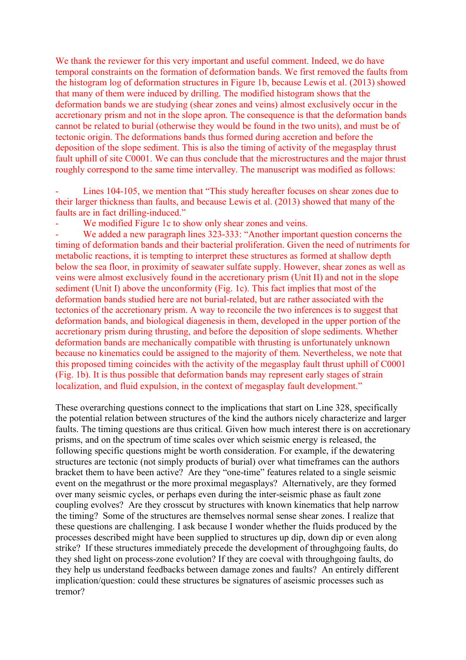We thank the reviewer for this very important and useful comment. Indeed, we do have temporal constraints on the formation of deformation bands. We first removed the faults from the histogram log of deformation structures in Figure 1b, because Lewis et al. (2013) showed that many of them were induced by drilling. The modified histogram shows that the deformation bands we are studying (shear zones and veins) almost exclusively occur in the accretionary prism and not in the slope apron. The consequence is that the deformation bands cannot be related to burial (otherwise they would be found in the two units), and must be of tectonic origin. The deformations bands thus formed during accretion and before the deposition of the slope sediment. This is also the timing of activity of the megasplay thrust fault uphill of site C0001. We can thus conclude that the microstructures and the major thrust roughly correspond to the same time intervalley. The manuscript was modified as follows:

Lines 104-105, we mention that "This study hereafter focuses on shear zones due to their larger thickness than faults, and because Lewis et al. (2013) showed that many of the faults are in fact drilling-induced."

We modified Figure 1c to show only shear zones and veins.

We added a new paragraph lines 323-333: "Another important question concerns the timing of deformation bands and their bacterial proliferation. Given the need of nutriments for metabolic reactions, it is tempting to interpret these structures as formed at shallow depth below the sea floor, in proximity of seawater sulfate supply. However, shear zones as well as veins were almost exclusively found in the accretionary prism (Unit II) and not in the slope sediment (Unit I) above the unconformity (Fig. 1c). This fact implies that most of the deformation bands studied here are not burial-related, but are rather associated with the tectonics of the accretionary prism. A way to reconcile the two inferences is to suggest that deformation bands, and biological diagenesis in them, developed in the upper portion of the accretionary prism during thrusting, and before the deposition of slope sediments. Whether deformation bands are mechanically compatible with thrusting is unfortunately unknown because no kinematics could be assigned to the majority of them. Nevertheless, we note that this proposed timing coincides with the activity of the megasplay fault thrust uphill of C0001 (Fig. 1b). It is thus possible that deformation bands may represent early stages of strain localization, and fluid expulsion, in the context of megasplay fault development."

These overarching questions connect to the implications that start on Line 328, specifically the potential relation between structures of the kind the authors nicely characterize and larger faults. The timing questions are thus critical. Given how much interest there is on accretionary prisms, and on the spectrum of time scales over which seismic energy is released, the following specific questions might be worth consideration. For example, if the dewatering structures are tectonic (not simply products of burial) over what timeframes can the authors bracket them to have been active? Are they "one-time" features related to a single seismic event on the megathrust or the more proximal megasplays? Alternatively, are they formed over many seismic cycles, or perhaps even during the inter-seismic phase as fault zone coupling evolves? Are they crosscut by structures with known kinematics that help narrow the timing? Some of the structures are themselves normal sense shear zones. I realize that these questions are challenging. I ask because I wonder whether the fluids produced by the processes described might have been supplied to structures up dip, down dip or even along strike? If these structures immediately precede the development of throughgoing faults, do they shed light on process-zone evolution? If they are coeval with throughgoing faults, do they help us understand feedbacks between damage zones and faults? An entirely different implication/question: could these structures be signatures of aseismic processes such as tremor?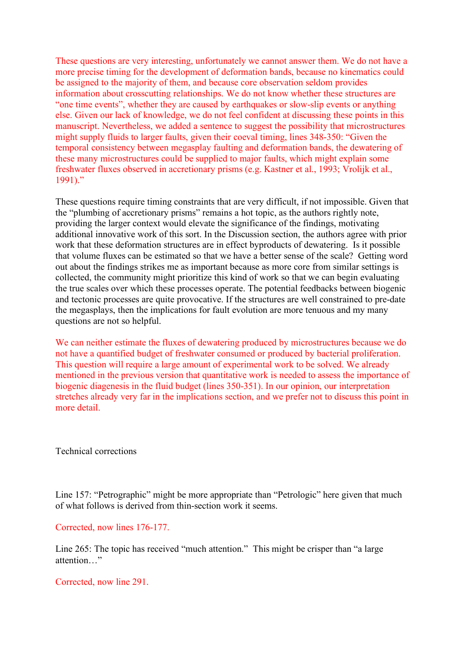These questions are very interesting, unfortunately we cannot answer them. We do not have a more precise timing for the development of deformation bands, because no kinematics could be assigned to the majority of them, and because core observation seldom provides information about crosscutting relationships. We do not know whether these structures are "one time events", whether they are caused by earthquakes or slow-slip events or anything else. Given our lack of knowledge, we do not feel confident at discussing these points in this manuscript. Nevertheless, we added a sentence to suggest the possibility that microstructures might supply fluids to larger faults, given their coeval timing, lines 348-350: "Given the temporal consistency between megasplay faulting and deformation bands, the dewatering of these many microstructures could be supplied to major faults, which might explain some freshwater fluxes observed in accretionary prisms (e.g. Kastner et al., 1993; Vrolijk et al., 1991)."

These questions require timing constraints that are very difficult, if not impossible. Given that the "plumbing of accretionary prisms" remains a hot topic, as the authors rightly note, providing the larger context would elevate the significance of the findings, motivating additional innovative work of this sort. In the Discussion section, the authors agree with prior work that these deformation structures are in effect byproducts of dewatering. Is it possible that volume fluxes can be estimated so that we have a better sense of the scale? Getting word out about the findings strikes me as important because as more core from similar settings is collected, the community might prioritize this kind of work so that we can begin evaluating the true scales over which these processes operate. The potential feedbacks between biogenic and tectonic processes are quite provocative. If the structures are well constrained to pre-date the megasplays, then the implications for fault evolution are more tenuous and my many questions are not so helpful.

We can neither estimate the fluxes of dewatering produced by microstructures because we do not have a quantified budget of freshwater consumed or produced by bacterial proliferation. This question will require a large amount of experimental work to be solved. We already mentioned in the previous version that quantitative work is needed to assess the importance of biogenic diagenesis in the fluid budget (lines 350-351). In our opinion, our interpretation stretches already very far in the implications section, and we prefer not to discuss this point in more detail.

Technical corrections

Line 157: "Petrographic" might be more appropriate than "Petrologic" here given that much of what follows is derived from thin-section work it seems.

Corrected, now lines 176-177.

Line 265: The topic has received "much attention." This might be crisper than "a large attention "

Corrected, now line 291.